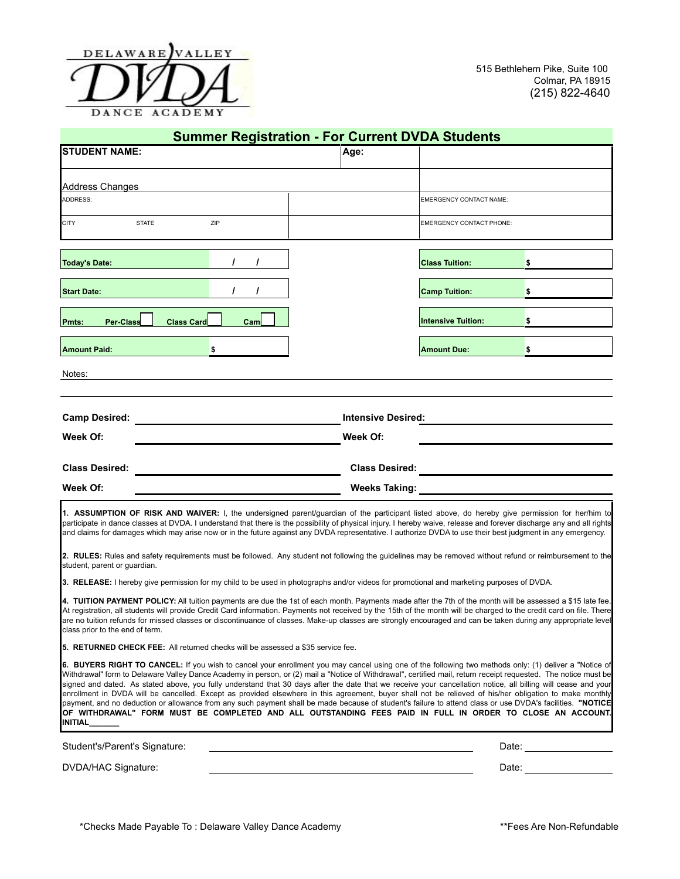

| <b>STUDENT NAME:</b><br>Age:<br><b>Address Changes</b><br><b>EMERGENCY CONTACT NAME:</b><br><b>CITY</b><br><b>STATE</b><br>ZIP<br><b>EMERGENCY CONTACT PHONE:</b><br><b>Today's Date:</b><br>T<br><b>Class Tuition:</b><br>\$<br>$\prime$<br>$\prime$<br><b>Camp Tuition:</b><br>\$<br><b>Per-Class</b><br><b>Intensive Tuition:</b><br>\$<br>Pmts:<br>Class Card<br>Cam<br>\$<br><b>Amount Due:</b><br>\$<br><b>Camp Desired:</b><br><b>Intensive Desired:</b><br>Week Of:<br>Week Of:<br><b>Class Desired:</b><br><b>Weeks Taking:</b><br>Student's/Parent's Signature:<br>Date: <u>__________</u> | <b>Summer Registration - For Current DVDA Students</b>                                                                                                                                                                                                                                                                                                                                                                                                                                                                                                                                                                                                                                                                                                                                                                                                                                                                                                                                                                                                                                                                                                                                                                                                                                                                                                                                                                                                                                                                                                                                                                                                                                                                                                                                                                                                                                                                                                                                                                                                                                                                                                                                                                                                                                                                                                                                                  |  |  |  |  |  |  |  |  |
|------------------------------------------------------------------------------------------------------------------------------------------------------------------------------------------------------------------------------------------------------------------------------------------------------------------------------------------------------------------------------------------------------------------------------------------------------------------------------------------------------------------------------------------------------------------------------------------------------|---------------------------------------------------------------------------------------------------------------------------------------------------------------------------------------------------------------------------------------------------------------------------------------------------------------------------------------------------------------------------------------------------------------------------------------------------------------------------------------------------------------------------------------------------------------------------------------------------------------------------------------------------------------------------------------------------------------------------------------------------------------------------------------------------------------------------------------------------------------------------------------------------------------------------------------------------------------------------------------------------------------------------------------------------------------------------------------------------------------------------------------------------------------------------------------------------------------------------------------------------------------------------------------------------------------------------------------------------------------------------------------------------------------------------------------------------------------------------------------------------------------------------------------------------------------------------------------------------------------------------------------------------------------------------------------------------------------------------------------------------------------------------------------------------------------------------------------------------------------------------------------------------------------------------------------------------------------------------------------------------------------------------------------------------------------------------------------------------------------------------------------------------------------------------------------------------------------------------------------------------------------------------------------------------------------------------------------------------------------------------------------------------------|--|--|--|--|--|--|--|--|
|                                                                                                                                                                                                                                                                                                                                                                                                                                                                                                                                                                                                      |                                                                                                                                                                                                                                                                                                                                                                                                                                                                                                                                                                                                                                                                                                                                                                                                                                                                                                                                                                                                                                                                                                                                                                                                                                                                                                                                                                                                                                                                                                                                                                                                                                                                                                                                                                                                                                                                                                                                                                                                                                                                                                                                                                                                                                                                                                                                                                                                         |  |  |  |  |  |  |  |  |
|                                                                                                                                                                                                                                                                                                                                                                                                                                                                                                                                                                                                      |                                                                                                                                                                                                                                                                                                                                                                                                                                                                                                                                                                                                                                                                                                                                                                                                                                                                                                                                                                                                                                                                                                                                                                                                                                                                                                                                                                                                                                                                                                                                                                                                                                                                                                                                                                                                                                                                                                                                                                                                                                                                                                                                                                                                                                                                                                                                                                                                         |  |  |  |  |  |  |  |  |
|                                                                                                                                                                                                                                                                                                                                                                                                                                                                                                                                                                                                      | ADDRESS:                                                                                                                                                                                                                                                                                                                                                                                                                                                                                                                                                                                                                                                                                                                                                                                                                                                                                                                                                                                                                                                                                                                                                                                                                                                                                                                                                                                                                                                                                                                                                                                                                                                                                                                                                                                                                                                                                                                                                                                                                                                                                                                                                                                                                                                                                                                                                                                                |  |  |  |  |  |  |  |  |
|                                                                                                                                                                                                                                                                                                                                                                                                                                                                                                                                                                                                      |                                                                                                                                                                                                                                                                                                                                                                                                                                                                                                                                                                                                                                                                                                                                                                                                                                                                                                                                                                                                                                                                                                                                                                                                                                                                                                                                                                                                                                                                                                                                                                                                                                                                                                                                                                                                                                                                                                                                                                                                                                                                                                                                                                                                                                                                                                                                                                                                         |  |  |  |  |  |  |  |  |
|                                                                                                                                                                                                                                                                                                                                                                                                                                                                                                                                                                                                      |                                                                                                                                                                                                                                                                                                                                                                                                                                                                                                                                                                                                                                                                                                                                                                                                                                                                                                                                                                                                                                                                                                                                                                                                                                                                                                                                                                                                                                                                                                                                                                                                                                                                                                                                                                                                                                                                                                                                                                                                                                                                                                                                                                                                                                                                                                                                                                                                         |  |  |  |  |  |  |  |  |
|                                                                                                                                                                                                                                                                                                                                                                                                                                                                                                                                                                                                      |                                                                                                                                                                                                                                                                                                                                                                                                                                                                                                                                                                                                                                                                                                                                                                                                                                                                                                                                                                                                                                                                                                                                                                                                                                                                                                                                                                                                                                                                                                                                                                                                                                                                                                                                                                                                                                                                                                                                                                                                                                                                                                                                                                                                                                                                                                                                                                                                         |  |  |  |  |  |  |  |  |
|                                                                                                                                                                                                                                                                                                                                                                                                                                                                                                                                                                                                      |                                                                                                                                                                                                                                                                                                                                                                                                                                                                                                                                                                                                                                                                                                                                                                                                                                                                                                                                                                                                                                                                                                                                                                                                                                                                                                                                                                                                                                                                                                                                                                                                                                                                                                                                                                                                                                                                                                                                                                                                                                                                                                                                                                                                                                                                                                                                                                                                         |  |  |  |  |  |  |  |  |
|                                                                                                                                                                                                                                                                                                                                                                                                                                                                                                                                                                                                      | <b>Start Date:</b>                                                                                                                                                                                                                                                                                                                                                                                                                                                                                                                                                                                                                                                                                                                                                                                                                                                                                                                                                                                                                                                                                                                                                                                                                                                                                                                                                                                                                                                                                                                                                                                                                                                                                                                                                                                                                                                                                                                                                                                                                                                                                                                                                                                                                                                                                                                                                                                      |  |  |  |  |  |  |  |  |
|                                                                                                                                                                                                                                                                                                                                                                                                                                                                                                                                                                                                      |                                                                                                                                                                                                                                                                                                                                                                                                                                                                                                                                                                                                                                                                                                                                                                                                                                                                                                                                                                                                                                                                                                                                                                                                                                                                                                                                                                                                                                                                                                                                                                                                                                                                                                                                                                                                                                                                                                                                                                                                                                                                                                                                                                                                                                                                                                                                                                                                         |  |  |  |  |  |  |  |  |
|                                                                                                                                                                                                                                                                                                                                                                                                                                                                                                                                                                                                      |                                                                                                                                                                                                                                                                                                                                                                                                                                                                                                                                                                                                                                                                                                                                                                                                                                                                                                                                                                                                                                                                                                                                                                                                                                                                                                                                                                                                                                                                                                                                                                                                                                                                                                                                                                                                                                                                                                                                                                                                                                                                                                                                                                                                                                                                                                                                                                                                         |  |  |  |  |  |  |  |  |
|                                                                                                                                                                                                                                                                                                                                                                                                                                                                                                                                                                                                      | <b>Amount Paid:</b>                                                                                                                                                                                                                                                                                                                                                                                                                                                                                                                                                                                                                                                                                                                                                                                                                                                                                                                                                                                                                                                                                                                                                                                                                                                                                                                                                                                                                                                                                                                                                                                                                                                                                                                                                                                                                                                                                                                                                                                                                                                                                                                                                                                                                                                                                                                                                                                     |  |  |  |  |  |  |  |  |
|                                                                                                                                                                                                                                                                                                                                                                                                                                                                                                                                                                                                      | Notes:                                                                                                                                                                                                                                                                                                                                                                                                                                                                                                                                                                                                                                                                                                                                                                                                                                                                                                                                                                                                                                                                                                                                                                                                                                                                                                                                                                                                                                                                                                                                                                                                                                                                                                                                                                                                                                                                                                                                                                                                                                                                                                                                                                                                                                                                                                                                                                                                  |  |  |  |  |  |  |  |  |
|                                                                                                                                                                                                                                                                                                                                                                                                                                                                                                                                                                                                      |                                                                                                                                                                                                                                                                                                                                                                                                                                                                                                                                                                                                                                                                                                                                                                                                                                                                                                                                                                                                                                                                                                                                                                                                                                                                                                                                                                                                                                                                                                                                                                                                                                                                                                                                                                                                                                                                                                                                                                                                                                                                                                                                                                                                                                                                                                                                                                                                         |  |  |  |  |  |  |  |  |
|                                                                                                                                                                                                                                                                                                                                                                                                                                                                                                                                                                                                      |                                                                                                                                                                                                                                                                                                                                                                                                                                                                                                                                                                                                                                                                                                                                                                                                                                                                                                                                                                                                                                                                                                                                                                                                                                                                                                                                                                                                                                                                                                                                                                                                                                                                                                                                                                                                                                                                                                                                                                                                                                                                                                                                                                                                                                                                                                                                                                                                         |  |  |  |  |  |  |  |  |
|                                                                                                                                                                                                                                                                                                                                                                                                                                                                                                                                                                                                      |                                                                                                                                                                                                                                                                                                                                                                                                                                                                                                                                                                                                                                                                                                                                                                                                                                                                                                                                                                                                                                                                                                                                                                                                                                                                                                                                                                                                                                                                                                                                                                                                                                                                                                                                                                                                                                                                                                                                                                                                                                                                                                                                                                                                                                                                                                                                                                                                         |  |  |  |  |  |  |  |  |
|                                                                                                                                                                                                                                                                                                                                                                                                                                                                                                                                                                                                      |                                                                                                                                                                                                                                                                                                                                                                                                                                                                                                                                                                                                                                                                                                                                                                                                                                                                                                                                                                                                                                                                                                                                                                                                                                                                                                                                                                                                                                                                                                                                                                                                                                                                                                                                                                                                                                                                                                                                                                                                                                                                                                                                                                                                                                                                                                                                                                                                         |  |  |  |  |  |  |  |  |
|                                                                                                                                                                                                                                                                                                                                                                                                                                                                                                                                                                                                      | <b>Class Desired:</b>                                                                                                                                                                                                                                                                                                                                                                                                                                                                                                                                                                                                                                                                                                                                                                                                                                                                                                                                                                                                                                                                                                                                                                                                                                                                                                                                                                                                                                                                                                                                                                                                                                                                                                                                                                                                                                                                                                                                                                                                                                                                                                                                                                                                                                                                                                                                                                                   |  |  |  |  |  |  |  |  |
|                                                                                                                                                                                                                                                                                                                                                                                                                                                                                                                                                                                                      | Week Of:                                                                                                                                                                                                                                                                                                                                                                                                                                                                                                                                                                                                                                                                                                                                                                                                                                                                                                                                                                                                                                                                                                                                                                                                                                                                                                                                                                                                                                                                                                                                                                                                                                                                                                                                                                                                                                                                                                                                                                                                                                                                                                                                                                                                                                                                                                                                                                                                |  |  |  |  |  |  |  |  |
|                                                                                                                                                                                                                                                                                                                                                                                                                                                                                                                                                                                                      | 1. ASSUMPTION OF RISK AND WAIVER: I, the undersigned parent/guardian of the participant listed above, do hereby give permission for her/him to<br>participate in dance classes at DVDA. I understand that there is the possibility of physical injury. I hereby waive, release and forever discharge any and all rights<br>and claims for damages which may arise now or in the future against any DVDA representative. I authorize DVDA to use their best judgment in any emergency.<br>2. RULES: Rules and safety requirements must be followed. Any student not following the guidelines may be removed without refund or reimbursement to the<br>student, parent or quardian.<br>3. RELEASE: I hereby give permission for my child to be used in photographs and/or videos for promotional and marketing purposes of DVDA.<br>4. TUITION PAYMENT POLICY: All tuition payments are due the 1st of each month. Payments made after the 7th of the month will be assessed a \$15 late fee.<br>At registration, all students will provide Credit Card information. Payments not received by the 15th of the month will be charged to the credit card on file. There<br>are no tuition refunds for missed classes or discontinuance of classes. Make-up classes are strongly encouraged and can be taken during any appropriate level<br>class prior to the end of term.<br>5. RETURNED CHECK FEE: All returned checks will be assessed a \$35 service fee.<br>6. BUYERS RIGHT TO CANCEL: If you wish to cancel your enrollment you may cancel using one of the following two methods only: (1) deliver a "Notice of<br>Withdrawal" form to Delaware Valley Dance Academy in person, or (2) mail a "Notice of Withdrawal", certified mail, return receipt requested. The notice must be<br>signed and dated. As stated above, you fully understand that 30 days after the date that we receive your cancellation notice, all billing will cease and your<br>enrollment in DVDA will be cancelled. Except as provided elsewhere in this agreement, buyer shall not be relieved of his/her obligation to make monthly<br>payment, and no deduction or allowance from any such payment shall be made because of student's failure to attend class or use DVDA's facilities. "NOTICE<br>OF WITHDRAWAL" FORM MUST BE COMPLETED AND ALL OUTSTANDING FEES PAID IN FULL IN ORDER TO CLOSE AN ACCOUNT.<br>INITIAL |  |  |  |  |  |  |  |  |
|                                                                                                                                                                                                                                                                                                                                                                                                                                                                                                                                                                                                      |                                                                                                                                                                                                                                                                                                                                                                                                                                                                                                                                                                                                                                                                                                                                                                                                                                                                                                                                                                                                                                                                                                                                                                                                                                                                                                                                                                                                                                                                                                                                                                                                                                                                                                                                                                                                                                                                                                                                                                                                                                                                                                                                                                                                                                                                                                                                                                                                         |  |  |  |  |  |  |  |  |
| Date: and the set of the set of the set of the set of the set of the set of the set of the set of the set of the set of the set of the set of the set of the set of the set of the set of the set of the set of the set of the                                                                                                                                                                                                                                                                                                                                                                       | DVDA/HAC Signature:                                                                                                                                                                                                                                                                                                                                                                                                                                                                                                                                                                                                                                                                                                                                                                                                                                                                                                                                                                                                                                                                                                                                                                                                                                                                                                                                                                                                                                                                                                                                                                                                                                                                                                                                                                                                                                                                                                                                                                                                                                                                                                                                                                                                                                                                                                                                                                                     |  |  |  |  |  |  |  |  |